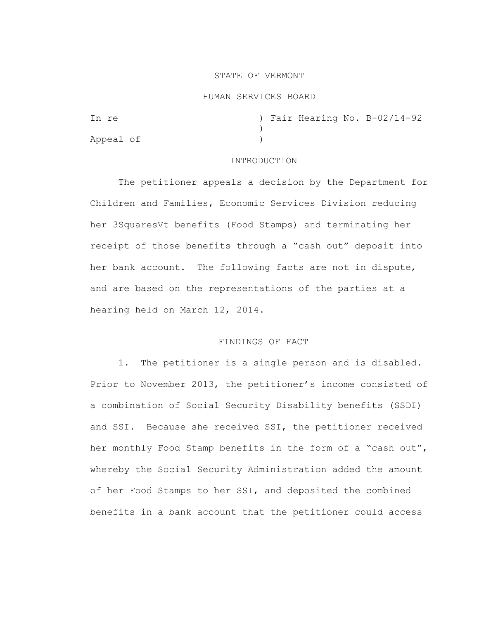## STATE OF VERMONT

### HUMAN SERVICES BOARD

| In re     |  |  | ) Fair Hearing No. B-02/14-92 |
|-----------|--|--|-------------------------------|
|           |  |  |                               |
| Appeal of |  |  |                               |

### INTRODUCTION

The petitioner appeals a decision by the Department for Children and Families, Economic Services Division reducing her 3SquaresVt benefits (Food Stamps) and terminating her receipt of those benefits through a "cash out" deposit into her bank account. The following facts are not in dispute, and are based on the representations of the parties at a hearing held on March 12, 2014.

# FINDINGS OF FACT

1. The petitioner is a single person and is disabled. Prior to November 2013, the petitioner's income consisted of a combination of Social Security Disability benefits (SSDI) and SSI. Because she received SSI, the petitioner received her monthly Food Stamp benefits in the form of a "cash out", whereby the Social Security Administration added the amount of her Food Stamps to her SSI, and deposited the combined benefits in a bank account that the petitioner could access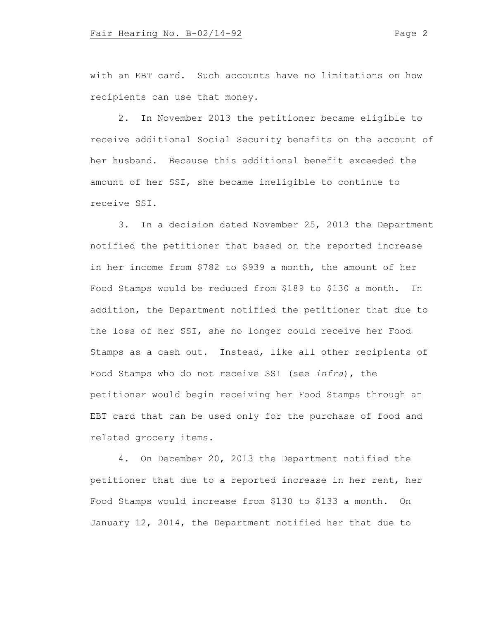with an EBT card. Such accounts have no limitations on how recipients can use that money.

2. In November 2013 the petitioner became eligible to receive additional Social Security benefits on the account of her husband. Because this additional benefit exceeded the amount of her SSI, she became ineligible to continue to receive SSI.

3. In a decision dated November 25, 2013 the Department notified the petitioner that based on the reported increase in her income from \$782 to \$939 a month, the amount of her Food Stamps would be reduced from \$189 to \$130 a month. In addition, the Department notified the petitioner that due to the loss of her SSI, she no longer could receive her Food Stamps as a cash out. Instead, like all other recipients of Food Stamps who do not receive SSI (see *infra*), the petitioner would begin receiving her Food Stamps through an EBT card that can be used only for the purchase of food and related grocery items.

4. On December 20, 2013 the Department notified the petitioner that due to a reported increase in her rent, her Food Stamps would increase from \$130 to \$133 a month. On January 12, 2014, the Department notified her that due to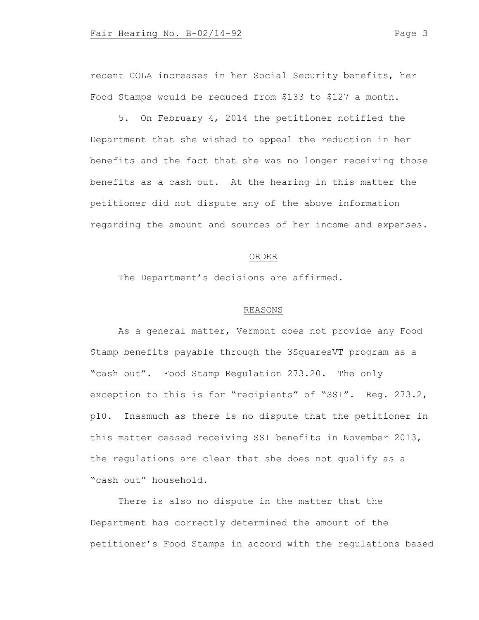recent COLA increases in her Social Security benefits, her Food Stamps would be reduced from \$133 to \$127 a month.

5. On February 4, 2014 the petitioner notified the Department that she wished to appeal the reduction in her benefits and the fact that she was no longer receiving those benefits as a cash out. At the hearing in this matter the petitioner did not dispute any of the above information regarding the amount and sources of her income and expenses.

### ORDER

The Department's decisions are affirmed.

# REASONS

As a general matter, Vermont does not provide any Food Stamp benefits payable through the 3SquaresVT program as a "cash out". Food Stamp Regulation 273.20. The only exception to this is for "recipients" of "SSI". Reg. 273.2, p10. Inasmuch as there is no dispute that the petitioner in this matter ceased receiving SSI benefits in November 2013, the regulations are clear that she does not qualify as a "cash out" household.

There is also no dispute in the matter that the Department has correctly determined the amount of the petitioner's Food Stamps in accord with the regulations based